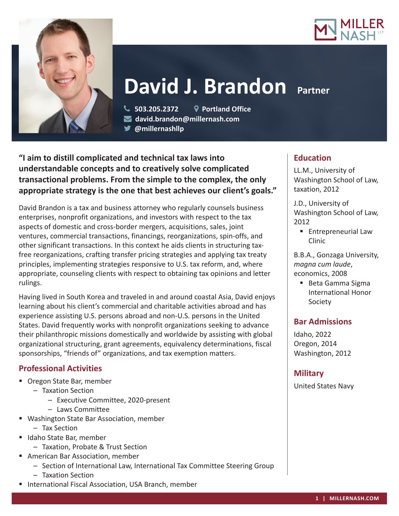



# **David J. Brandon Partner**

 **503.205.2372 Portland Office david.brandon@millernash.com @millernashllp** 

**"I aim to distill complicated and technical tax laws into understandable concepts and to creatively solve complicated transactional problems. From the simple to the complex, the only appropriate strategy is the one that best achieves our client's goals."**

David Brandon is a tax and business attorney who regularly counsels business enterprises, nonprofit organizations, and investors with respect to the tax aspects of domestic and cross-border mergers, acquisitions, sales, joint ventures, commercial transactions, financings, reorganizations, spin-offs, and other significant transactions. In this context he aids clients in structuring taxfree reorganizations, crafting transfer pricing strategies and applying tax treaty principles, implementing strategies responsive to U.S. tax reform, and, where appropriate, counseling clients with respect to obtaining tax opinions and letter rulings.

Having lived in South Korea and traveled in and around coastal Asia, David enjoys learning about his client's commercial and charitable activities abroad and has experience assisting U.S. persons abroad and non-U.S. persons in the United States. David frequently works with nonprofit organizations seeking to advance their philanthropic missions domestically and worldwide by assisting with global organizational structuring, grant agreements, equivalency determinations, fiscal sponsorships, "friends of" organizations, and tax exemption matters.

# **Professional Activities**

- Oregon State Bar, member
	- Taxation Section
		- Executive Committee, 2020-present
		- Laws Committee
- Washington State Bar Association, member
	- Tax Section
- Idaho State Bar, member
	- Taxation, Probate & Trust Section
- **American Bar Association, member** 
	- Section of International Law, International Tax Committee Steering Group
	- Taxation Section
- **International Fiscal Association, USA Branch, member**

# **Education**

LL.M., University of Washington School of Law, taxation, 2012

J.D., University of Washington School of Law, 2012

■ Entrepreneurial Law Clinic

B.B.A., Gonzaga University, *magna cum laude*, economics, 2008

■ Beta Gamma Sigma International Honor Society

## **Bar Admissions**

Idaho, 2022 Oregon, 2014 Washington, 2012

# **Military**

United States Navy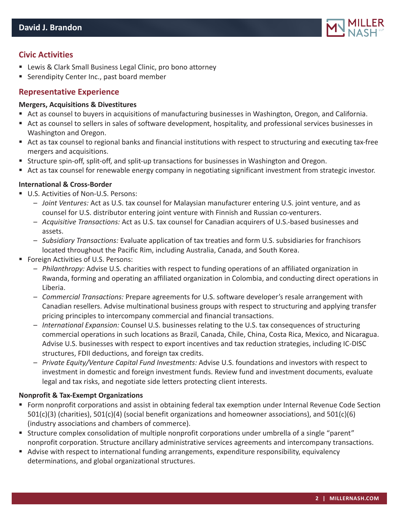

# **Civic Activities**

- Lewis & Clark Small Business Legal Clinic, pro bono attorney
- Serendipity Center Inc., past board member

## **Representative Experience**

#### **Mergers, Acquisitions & Divestitures**

- Act as counsel to buyers in acquisitions of manufacturing businesses in Washington, Oregon, and California.
- Act as counsel to sellers in sales of software development, hospitality, and professional services businesses in Washington and Oregon.
- Act as tax counsel to regional banks and financial institutions with respect to structuring and executing tax-free mergers and acquisitions.
- Structure spin-off, split-off, and split-up transactions for businesses in Washington and Oregon.
- Act as tax counsel for renewable energy company in negotiating significant investment from strategic investor.

#### **International & Cross-Border**

- U.S. Activities of Non-U.S. Persons:
	- *Joint Ventures:* Act as U.S. tax counsel for Malaysian manufacturer entering U.S. joint venture, and as counsel for U.S. distributor entering joint venture with Finnish and Russian co-venturers.
	- *Acquisitive Transactions:* Act as U.S. tax counsel for Canadian acquirers of U.S.-based businesses and assets.
	- *Subsidiary Transactions:* Evaluate application of tax treaties and form U.S. subsidiaries for franchisors located throughout the Pacific Rim, including Australia, Canada, and South Korea.
- Foreign Activities of U.S. Persons:
	- *Philanthropy:* Advise U.S. charities with respect to funding operations of an affiliated organization in Rwanda, forming and operating an affiliated organization in Colombia, and conducting direct operations in Liberia.
	- *Commercial Transactions:* Prepare agreements for U.S. software developer's resale arrangement with Canadian resellers. Advise multinational business groups with respect to structuring and applying transfer pricing principles to intercompany commercial and financial transactions.
	- *International Expansion:* Counsel U.S. businesses relating to the U.S. tax consequences of structuring commercial operations in such locations as Brazil, Canada, Chile, China, Costa Rica, Mexico, and Nicaragua. Advise U.S. businesses with respect to export incentives and tax reduction strategies, including IC-DISC structures, FDII deductions, and foreign tax credits.
	- *Private Equity/Venture Capital Fund Investments:* Advise U.S. foundations and investors with respect to investment in domestic and foreign investment funds. Review fund and investment documents, evaluate legal and tax risks, and negotiate side letters protecting client interests.

#### **Nonprofit & Tax-Exempt Organizations**

- Form nonprofit corporations and assist in obtaining federal tax exemption under Internal Revenue Code Section 501(c)(3) (charities), 501(c)(4) (social benefit organizations and homeowner associations), and 501(c)(6) (industry associations and chambers of commerce).
- Structure complex consolidation of multiple nonprofit corporations under umbrella of a single "parent" nonprofit corporation. Structure ancillary administrative services agreements and intercompany transactions.
- Advise with respect to international funding arrangements, expenditure responsibility, equivalency determinations, and global organizational structures.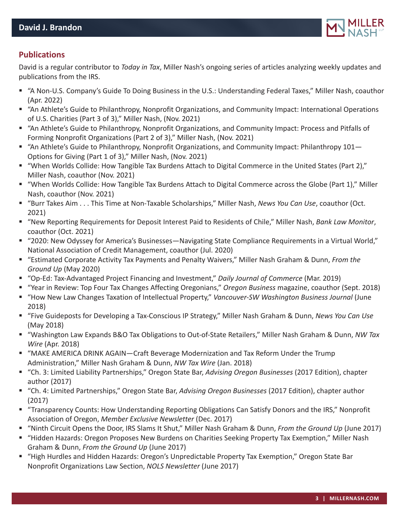

# **Publications**

David is a regular contributor to *Today in Tax*, Miller Nash's ongoing series of articles analyzing weekly updates and publications from the IRS.

- "A Non-U.S. Company's Guide To Doing Business in the U.S.: Understanding Federal Taxes," Miller Nash, coauthor (Apr. 2022)
- "An Athlete's Guide to Philanthropy, Nonprofit Organizations, and Community Impact: International Operations of U.S. Charities (Part 3 of 3)," Miller Nash, (Nov. 2021)
- "An Athlete's Guide to Philanthropy, Nonprofit Organizations, and Community Impact: Process and Pitfalls of Forming Nonprofit Organizations (Part 2 of 3)," Miller Nash, (Nov. 2021)
- "An Athlete's Guide to Philanthropy, Nonprofit Organizations, and Community Impact: Philanthropy 101— Options for Giving (Part 1 of 3)," Miller Nash, (Nov. 2021)
- "When Worlds Collide: How Tangible Tax Burdens Attach to Digital Commerce in the United States (Part 2)," Miller Nash, coauthor (Nov. 2021)
- "When Worlds Collide: How Tangible Tax Burdens Attach to Digital Commerce across the Globe (Part 1)," Miller Nash, coauthor (Nov. 2021)
- "Burr Takes Aim . . . This Time at Non-Taxable Scholarships," Miller Nash, *News You Can Use*, coauthor (Oct. 2021)
- "New Reporting Requirements for Deposit Interest Paid to Residents of Chile," Miller Nash, *Bank Law Monitor*, coauthor (Oct. 2021)
- "2020: New Odyssey for America's Businesses—Navigating State Compliance Requirements in a Virtual World," National Association of Credit Management, coauthor (Jul. 2020)
- "Estimated Corporate Activity Tax Payments and Penalty Waivers," Miller Nash Graham & Dunn, *From the Ground Up* (May 2020)
- "Op-Ed: Tax-Advantaged Project Financing and Investment," *Daily Journal of Commerce* (Mar. 2019)
- "Year in Review: Top Four Tax Changes Affecting Oregonians," *Oregon Business* magazine, coauthor (Sept. 2018)
- "How New Law Changes Taxation of Intellectual Property," *Vancouver-SW Washington Business Journal* (June 2018)
- "Five Guideposts for Developing a Tax-Conscious IP Strategy," Miller Nash Graham & Dunn, *News You Can Use* (May 2018)
- "Washington Law Expands B&O Tax Obligations to Out-of-State Retailers," Miller Nash Graham & Dunn, *NW Tax Wire* (Apr. 2018)
- "MAKE AMERICA DRINK AGAIN—Craft Beverage Modernization and Tax Reform Under the Trump Administration," Miller Nash Graham & Dunn, *NW Tax Wire* (Jan. 2018)
- "Ch. 3: Limited Liability Partnerships," Oregon State Bar, *Advising Oregon Businesses* (2017 Edition), chapter author (2017)
- "Ch. 4: Limited Partnerships," Oregon State Bar, *Advising Oregon Businesses* (2017 Edition), chapter author (2017)
- "Transparency Counts: How Understanding Reporting Obligations Can Satisfy Donors and the IRS," Nonprofit Association of Oregon, *Member Exclusive Newsletter* (Dec. 2017)
- "Ninth Circuit Opens the Door, IRS Slams It Shut," Miller Nash Graham & Dunn, *From the Ground Up* (June 2017)
- "Hidden Hazards: Oregon Proposes New Burdens on Charities Seeking Property Tax Exemption," Miller Nash Graham & Dunn, *From the Ground Up* (June 2017)
- "High Hurdles and Hidden Hazards: Oregon's Unpredictable Property Tax Exemption," Oregon State Bar Nonprofit Organizations Law Section, *NOLS Newsletter* (June 2017)